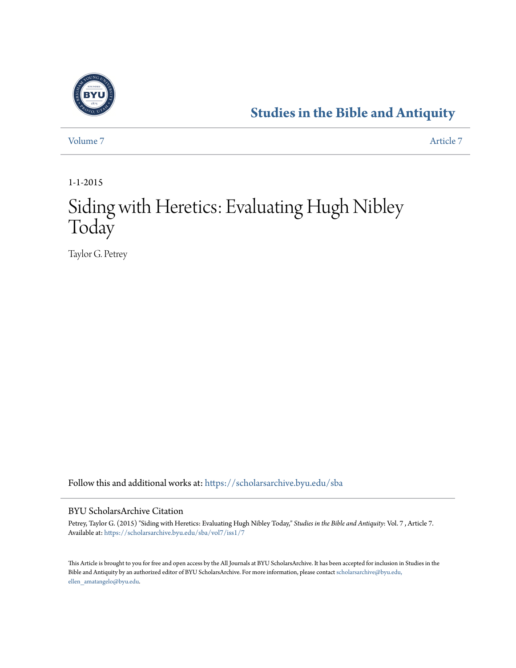

## **[Studies in the Bible and Antiquity](https://scholarsarchive.byu.edu/sba?utm_source=scholarsarchive.byu.edu%2Fsba%2Fvol7%2Fiss1%2F7&utm_medium=PDF&utm_campaign=PDFCoverPages)**

[Volume 7](https://scholarsarchive.byu.edu/sba/vol7?utm_source=scholarsarchive.byu.edu%2Fsba%2Fvol7%2Fiss1%2F7&utm_medium=PDF&utm_campaign=PDFCoverPages) [Article 7](https://scholarsarchive.byu.edu/sba/vol7/iss1/7?utm_source=scholarsarchive.byu.edu%2Fsba%2Fvol7%2Fiss1%2F7&utm_medium=PDF&utm_campaign=PDFCoverPages)

1-1-2015

# Siding with Heretics: Evaluating Hugh Nibley Today

Taylor G. Petrey

Follow this and additional works at: [https://scholarsarchive.byu.edu/sba](https://scholarsarchive.byu.edu/sba?utm_source=scholarsarchive.byu.edu%2Fsba%2Fvol7%2Fiss1%2F7&utm_medium=PDF&utm_campaign=PDFCoverPages)

#### BYU ScholarsArchive Citation

Petrey, Taylor G. (2015) "Siding with Heretics: Evaluating Hugh Nibley Today," *Studies in the Bible and Antiquity*: Vol. 7 , Article 7. Available at: [https://scholarsarchive.byu.edu/sba/vol7/iss1/7](https://scholarsarchive.byu.edu/sba/vol7/iss1/7?utm_source=scholarsarchive.byu.edu%2Fsba%2Fvol7%2Fiss1%2F7&utm_medium=PDF&utm_campaign=PDFCoverPages)

This Article is brought to you for free and open access by the All Journals at BYU ScholarsArchive. It has been accepted for inclusion in Studies in the Bible and Antiquity by an authorized editor of BYU ScholarsArchive. For more information, please contact [scholarsarchive@byu.edu,](mailto:scholarsarchive@byu.edu,%20ellen_amatangelo@byu.edu) [ellen\\_amatangelo@byu.edu.](mailto:scholarsarchive@byu.edu,%20ellen_amatangelo@byu.edu)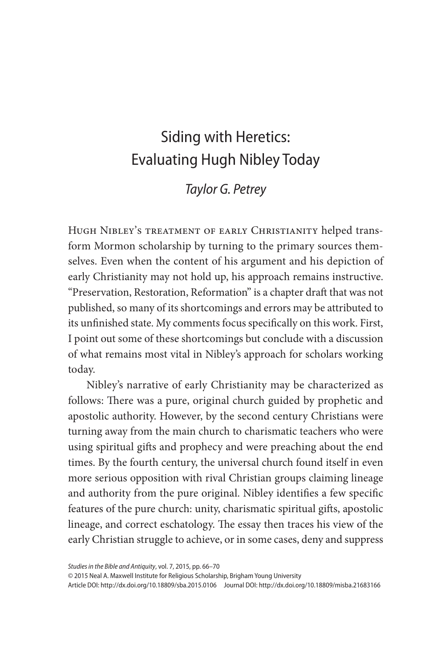### Siding with Heretics: Evaluating Hugh Nibley Today

### *Taylor G. Petrey*

Hugh Nibley's treatment of early Christianity helped transform Mormon scholarship by turning to the primary sources themselves. Even when the content of his argument and his depiction of early Christianity may not hold up, his approach remains instructive. "Preservation, Restoration, Reformation" is a chapter draft that was not published, so many of its shortcomings and errors may be attributed to its unfinished state. My comments focus specifically on this work. First, I point out some of these shortcomings but conclude with a discussion of what remains most vital in Nibley's approach for scholars working today.

Nibley's narrative of early Christianity may be characterized as follows: There was a pure, original church guided by prophetic and apostolic authority. However, by the second century Christians were turning away from the main church to charismatic teachers who were using spiritual gifts and prophecy and were preaching about the end times. By the fourth century, the universal church found itself in even more serious opposition with rival Christian groups claiming lineage and authority from the pure original. Nibley identifies a few specific features of the pure church: unity, charismatic spiritual gifts, apostolic lineage, and correct eschatology. The essay then traces his view of the early Christian struggle to achieve, or in some cases, deny and suppress

© 2015 Neal A. Maxwell Institute for Religious Scholarship, Brigham Young University

Article DOI: http://dx.doi.org/10.18809/sba.2015.0106 Journal DOI: http://dx.doi.org/10.18809/misba.21683166

*Studies in the Bible and Antiquity*, vol. 7, 2015, pp. 66–70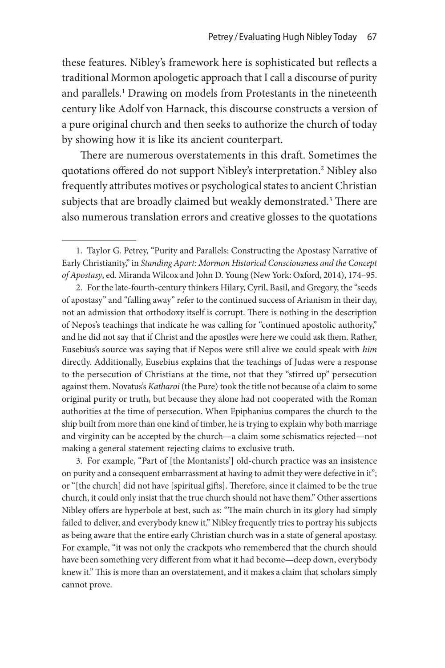these features. Nibley's framework here is sophisticated but reflects a traditional Mormon apologetic approach that I call a discourse of purity and parallels.<sup>1</sup> Drawing on models from Protestants in the nineteenth century like Adolf von Harnack, this discourse constructs a version of a pure original church and then seeks to authorize the church of today by showing how it is like its ancient counterpart.

There are numerous overstatements in this draft. Sometimes the quotations offered do not support Nibley's interpretation.2 Nibley also frequently attributes motives or psychological states to ancient Christian subjects that are broadly claimed but weakly demonstrated.<sup>3</sup> There are also numerous translation errors and creative glosses to the quotations

3. For example, "Part of [the Montanists'] old-church practice was an insistence on purity and a consequent embarrassment at having to admit they were defective in it"; or "[the church] did not have [spiritual gifts]. Therefore, since it claimed to be the true church, it could only insist that the true church should not have them." Other assertions Nibley offers are hyperbole at best, such as: "The main church in its glory had simply failed to deliver, and everybody knew it." Nibley frequently tries to portray his subjects as being aware that the entire early Christian church was in a state of general apostasy. For example, "it was not only the crackpots who remembered that the church should have been something very different from what it had become—deep down, everybody knew it." This is more than an overstatement, and it makes a claim that scholars simply cannot prove.

<sup>1.</sup> Taylor G. Petrey, "Purity and Parallels: Constructing the Apostasy Narrative of Early Christianity," in *Standing Apart: Mormon Historical Consciousness and the Concept of Apostasy*, ed. Miranda Wilcox and John D. Young (New York: Oxford, 2014), 174–95.

<sup>2.</sup> For the late-fourth-century thinkers Hilary, Cyril, Basil, and Gregory, the "seeds of apostasy" and "falling away" refer to the continued success of Arianism in their day, not an admission that orthodoxy itself is corrupt. There is nothing in the description of Nepos's teachings that indicate he was calling for "continued apostolic authority," and he did not say that if Christ and the apostles were here we could ask them. Rather, Eusebius's source was saying that if Nepos were still alive we could speak with *him* directly. Additionally, Eusebius explains that the teachings of Judas were a response to the persecution of Christians at the time, not that they "stirred up" persecution against them. Novatus's *Katharoi* (the Pure) took the title not because of a claim to some original purity or truth, but because they alone had not cooperated with the Roman authorities at the time of persecution. When Epiphanius compares the church to the ship built from more than one kind of timber, he is trying to explain why both marriage and virginity can be accepted by the church—a claim some schismatics rejected—not making a general statement rejecting claims to exclusive truth.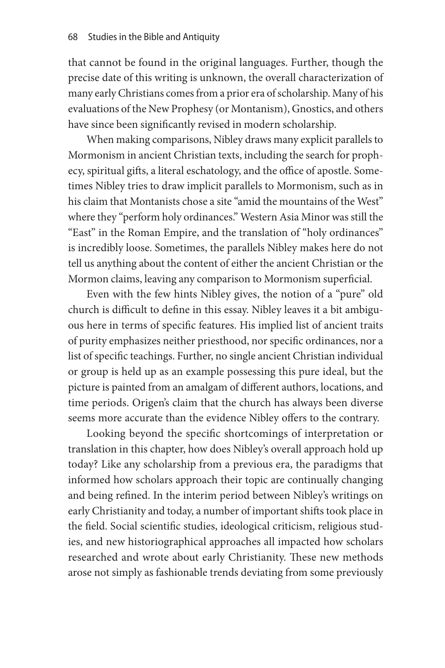that cannot be found in the original languages. Further, though the precise date of this writing is unknown, the overall characterization of many early Christians comes from a prior era of scholarship. Many of his evaluations of the New Prophesy (or Montanism), Gnostics, and others have since been significantly revised in modern scholarship.

When making comparisons, Nibley draws many explicit parallels to Mormonism in ancient Christian texts, including the search for prophecy, spiritual gifts, a literal eschatology, and the office of apostle. Sometimes Nibley tries to draw implicit parallels to Mormonism, such as in his claim that Montanists chose a site "amid the mountains of the West" where they "perform holy ordinances." Western Asia Minor was still the "East" in the Roman Empire, and the translation of "holy ordinances" is incredibly loose. Sometimes, the parallels Nibley makes here do not tell us anything about the content of either the ancient Christian or the Mormon claims, leaving any comparison to Mormonism superficial.

Even with the few hints Nibley gives, the notion of a "pure" old church is difficult to define in this essay. Nibley leaves it a bit ambiguous here in terms of specific features. His implied list of ancient traits of purity emphasizes neither priesthood, nor specific ordinances, nor a list of specific teachings. Further, no single ancient Christian individual or group is held up as an example possessing this pure ideal, but the picture is painted from an amalgam of different authors, locations, and time periods. Origen's claim that the church has always been diverse seems more accurate than the evidence Nibley offers to the contrary.

Looking beyond the specific shortcomings of interpretation or translation in this chapter, how does Nibley's overall approach hold up today? Like any scholarship from a previous era, the paradigms that informed how scholars approach their topic are continually changing and being refined. In the interim period between Nibley's writings on early Christianity and today, a number of important shifts took place in the field. Social scientific studies, ideological criticism, religious studies, and new historiographical approaches all impacted how scholars researched and wrote about early Christianity. These new methods arose not simply as fashionable trends deviating from some previously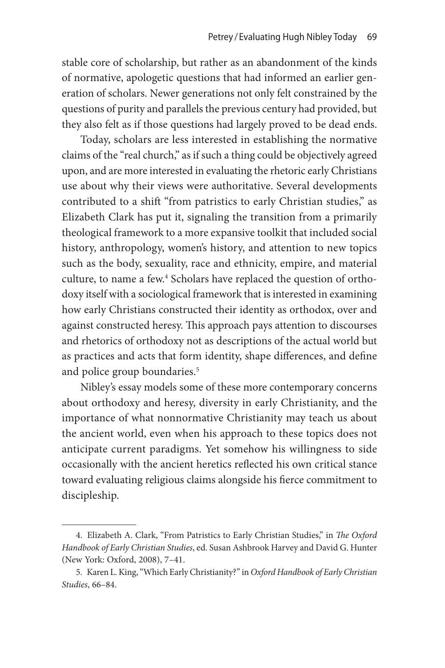stable core of scholarship, but rather as an abandonment of the kinds of normative, apologetic questions that had informed an earlier generation of scholars. Newer generations not only felt constrained by the questions of purity and parallels the previous century had provided, but they also felt as if those questions had largely proved to be dead ends.

Today, scholars are less interested in establishing the normative claims of the "real church," as if such a thing could be objectively agreed upon, and are more interested in evaluating the rhetoric early Christians use about why their views were authoritative. Several developments contributed to a shift "from patristics to early Christian studies," as Elizabeth Clark has put it, signaling the transition from a primarily theological framework to a more expansive toolkit that included social history, anthropology, women's history, and attention to new topics such as the body, sexuality, race and ethnicity, empire, and material culture, to name a few.<sup>4</sup> Scholars have replaced the question of orthodoxy itself with a sociological framework that is interested in examining how early Christians constructed their identity as orthodox, over and against constructed heresy. This approach pays attention to discourses and rhetorics of orthodoxy not as descriptions of the actual world but as practices and acts that form identity, shape differences, and define and police group boundaries.<sup>5</sup>

Nibley's essay models some of these more contemporary concerns about orthodoxy and heresy, diversity in early Christianity, and the importance of what nonnormative Christianity may teach us about the ancient world, even when his approach to these topics does not anticipate current paradigms. Yet somehow his willingness to side occasionally with the ancient heretics reflected his own critical stance toward evaluating religious claims alongside his fierce commitment to discipleship.

<sup>4.</sup> Elizabeth A. Clark, "From Patristics to Early Christian Studies," in *The Oxford Handbook of Early Christian Studies*, ed. Susan Ashbrook Harvey and David G. Hunter (New York: Oxford, 2008), 7–41.

<sup>5.</sup> Karen L. King, "Which Early Christianity?" in *Oxford Handbook of Early Christian Studies*, 66–84.